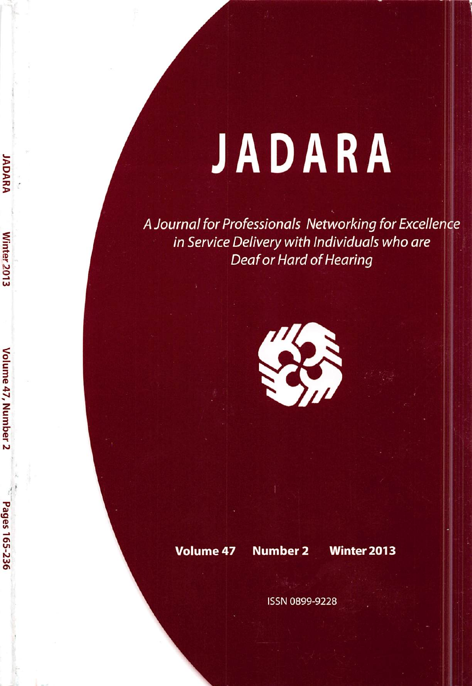# JADARA

A Journal for Professionals Networking for Excellence in Service Delivery with Individuals who are **Deaf or Hard of Hearing** 



#### **Volume 47**

**JADARA** 

Winter<sub>2013</sub>

Volume 47, Number 2

Pages 165-236

## **Number 2**

**Winter 2013** 

**ISSN 0899-9228**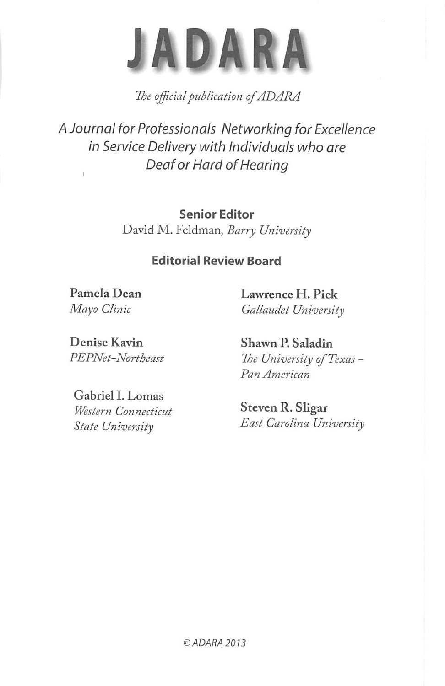

The official publication of ADARA

A Journal for Professionals Networking for Excellence in Service Delivery with Individuals who are Deaf or Hard of Hearing

> Senior Editor David M. Feldman, Barry University

### Editorial Review Board

Pamela Dean Mayo Clinic

Lawrence H. Pick Gallaudet University

Denise Kavin PEPNet-Northeast

Gabriel I. Lomas Western Connecticut State University

Shawn P. Saladin The University of Texas -Pan American

Steven R. Sligar East Carolina University